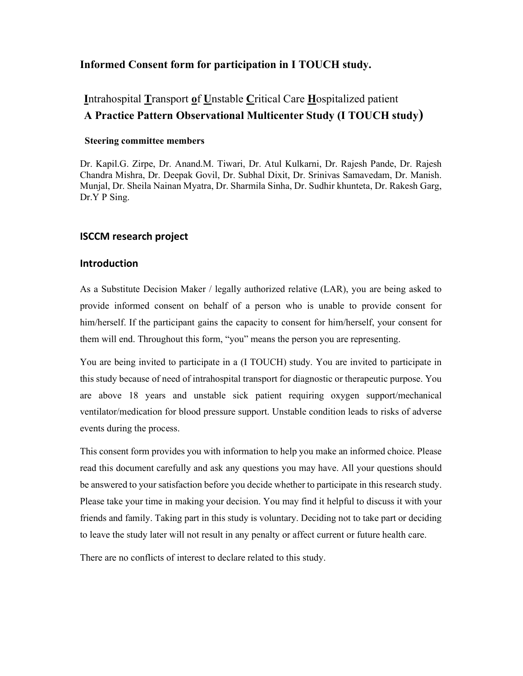## Informed Consent form for participation in I TOUCH study.

# Intrahospital Transport of Unstable Critical Care Hospitalized patient A Practice Pattern Observational Multicenter Study (I TOUCH study)

#### Steering committee members

Dr. Kapil.G. Zirpe, Dr. Anand.M. Tiwari, Dr. Atul Kulkarni, Dr. Rajesh Pande, Dr. Rajesh Chandra Mishra, Dr. Deepak Govil, Dr. Subhal Dixit, Dr. Srinivas Samavedam, Dr. Manish. Munjal, Dr. Sheila Nainan Myatra, Dr. Sharmila Sinha, Dr. Sudhir khunteta, Dr. Rakesh Garg, Dr.Y P Sing.

### ISCCM research project

#### Introduction

As a Substitute Decision Maker / legally authorized relative (LAR), you are being asked to provide informed consent on behalf of a person who is unable to provide consent for him/herself. If the participant gains the capacity to consent for him/herself, your consent for them will end. Throughout this form, "you" means the person you are representing.

You are being invited to participate in a (I TOUCH) study. You are invited to participate in this study because of need of intrahospital transport for diagnostic or therapeutic purpose. You are above 18 years and unstable sick patient requiring oxygen support/mechanical ventilator/medication for blood pressure support. Unstable condition leads to risks of adverse events during the process.

This consent form provides you with information to help you make an informed choice. Please read this document carefully and ask any questions you may have. All your questions should be answered to your satisfaction before you decide whether to participate in this research study. Please take your time in making your decision. You may find it helpful to discuss it with your friends and family. Taking part in this study is voluntary. Deciding not to take part or deciding to leave the study later will not result in any penalty or affect current or future health care.

There are no conflicts of interest to declare related to this study.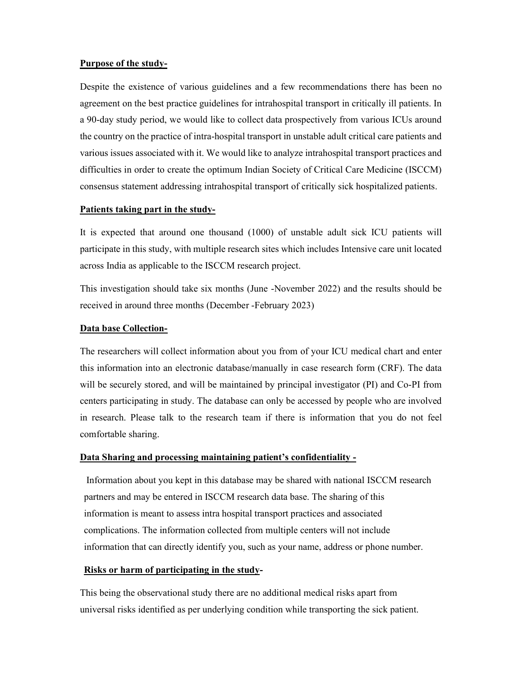#### Purpose of the study-

Despite the existence of various guidelines and a few recommendations there has been no agreement on the best practice guidelines for intrahospital transport in critically ill patients. In a 90-day study period, we would like to collect data prospectively from various ICUs around the country on the practice of intra-hospital transport in unstable adult critical care patients and various issues associated with it. We would like to analyze intrahospital transport practices and difficulties in order to create the optimum Indian Society of Critical Care Medicine (ISCCM) consensus statement addressing intrahospital transport of critically sick hospitalized patients.

#### Patients taking part in the study-

It is expected that around one thousand (1000) of unstable adult sick ICU patients will participate in this study, with multiple research sites which includes Intensive care unit located across India as applicable to the ISCCM research project.

This investigation should take six months (June -November 2022) and the results should be received in around three months (December -February 2023)

#### Data base Collection-

The researchers will collect information about you from of your ICU medical chart and enter this information into an electronic database/manually in case research form (CRF). The data will be securely stored, and will be maintained by principal investigator (PI) and Co-PI from centers participating in study. The database can only be accessed by people who are involved in research. Please talk to the research team if there is information that you do not feel comfortable sharing.

#### Data Sharing and processing maintaining patient's confidentiality -

 Information about you kept in this database may be shared with national ISCCM research partners and may be entered in ISCCM research data base. The sharing of this information is meant to assess intra hospital transport practices and associated complications. The information collected from multiple centers will not include information that can directly identify you, such as your name, address or phone number.

#### Risks or harm of participating in the study-

This being the observational study there are no additional medical risks apart from universal risks identified as per underlying condition while transporting the sick patient.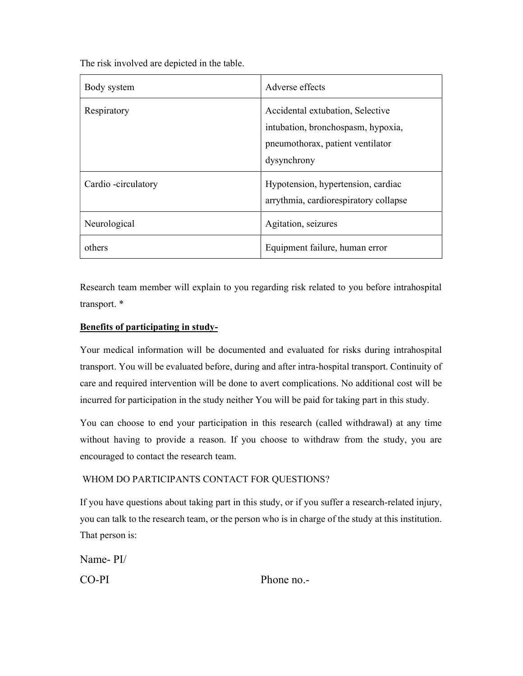The risk involved are depicted in the table.

| Body system         | Adverse effects                                                                                                           |
|---------------------|---------------------------------------------------------------------------------------------------------------------------|
| Respiratory         | Accidental extubation, Selective<br>intubation, bronchospasm, hypoxia,<br>pneumothorax, patient ventilator<br>dysynchrony |
| Cardio -circulatory | Hypotension, hypertension, cardiac<br>arrythmia, cardiorespiratory collapse                                               |
| Neurological        | Agitation, seizures                                                                                                       |
| others              | Equipment failure, human error                                                                                            |

Research team member will explain to you regarding risk related to you before intrahospital transport. \*

## Benefits of participating in study-

Your medical information will be documented and evaluated for risks during intrahospital transport. You will be evaluated before, during and after intra-hospital transport. Continuity of care and required intervention will be done to avert complications. No additional cost will be incurred for participation in the study neither You will be paid for taking part in this study.

You can choose to end your participation in this research (called withdrawal) at any time without having to provide a reason. If you choose to withdraw from the study, you are encouraged to contact the research team.

## WHOM DO PARTICIPANTS CONTACT FOR QUESTIONS?

If you have questions about taking part in this study, or if you suffer a research-related injury, you can talk to the research team, or the person who is in charge of the study at this institution. That person is:

Name- PI/ CO-PI Phone no.